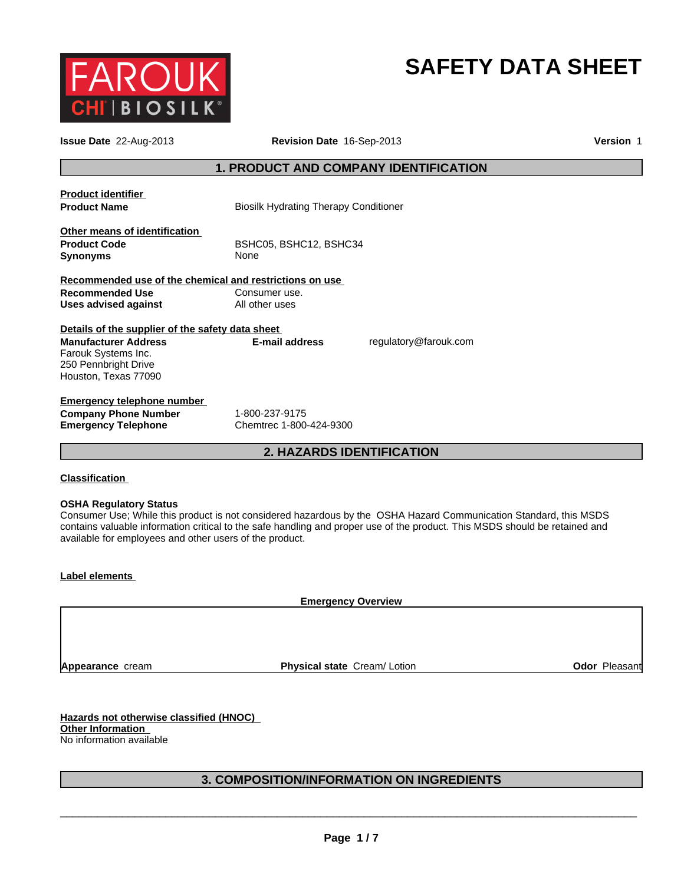

# **SAFETY DATA SHEET**

| <b>Issue Date</b> 22-Aug-2013                                                                                    | Revision Date 16-Sep-2013                    |                       | <b>Version 1</b> |
|------------------------------------------------------------------------------------------------------------------|----------------------------------------------|-----------------------|------------------|
|                                                                                                                  | 1. PRODUCT AND COMPANY IDENTIFICATION        |                       |                  |
| <b>Product identifier</b><br><b>Product Name</b>                                                                 | <b>Biosilk Hydrating Therapy Conditioner</b> |                       |                  |
| Other means of identification<br><b>Product Code</b><br>Synonyms                                                 | BSHC05, BSHC12, BSHC34<br>None               |                       |                  |
| Recommended use of the chemical and restrictions on use<br><b>Recommended Use</b><br><b>Uses advised against</b> | Consumer use.<br>All other uses              |                       |                  |
| Details of the supplier of the safety data sheet                                                                 |                                              |                       |                  |
| <b>Manufacturer Address</b><br>Farouk Systems Inc.<br>250 Pennbright Drive<br>Houston, Texas 77090               | <b>E-mail address</b>                        | regulatory@farouk.com |                  |
| <b>Emergency telephone number</b>                                                                                |                                              |                       |                  |
| <b>Company Phone Number</b><br><b>Emergency Telephone</b>                                                        | 1-800-237-9175<br>Chemtrec 1-800-424-9300    |                       |                  |
|                                                                                                                  | <b>2. HAZARDS IDENTIFICATION</b>             |                       |                  |

## **Classification**

## **OSHA Regulatory Status**

Consumer Use; While this product is not considered hazardous by the OSHA Hazard Communication Standard, this MSDS contains valuable information critical to the safe handling and proper use of the product. This MSDS should be retained and available for employees and other users of the product.

## **Label elements**

**Emergency Overview**

**Appearance** cream

**Physical state Cream/ Lotion <b>Constant Odor Pleasant** 

**Hazards not otherwise classified (HNOC) Other Information**  No information available

## **3. COMPOSITION/INFORMATION ON INGREDIENTS**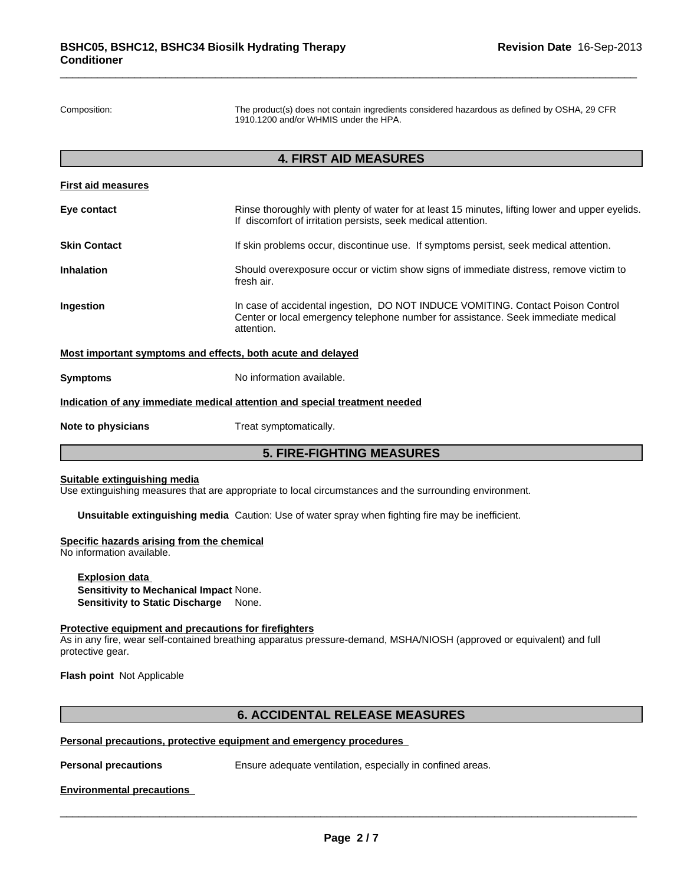Composition: The product(s) does not contain ingredients considered hazardous as defined by OSHA, 29 CFR 1910.1200 and/or WHMIS under the HPA.

## **4. FIRST AID MEASURES**

|                           | <b>5. FIRE-FIGHTING MEASURES</b>                                                                                                                                                   |  |  |
|---------------------------|------------------------------------------------------------------------------------------------------------------------------------------------------------------------------------|--|--|
| Note to physicians        | Treat symptomatically.                                                                                                                                                             |  |  |
|                           | Indication of any immediate medical attention and special treatment needed                                                                                                         |  |  |
| <b>Symptoms</b>           | No information available.                                                                                                                                                          |  |  |
|                           | Most important symptoms and effects, both acute and delayed                                                                                                                        |  |  |
| Ingestion                 | In case of accidental ingestion, DO NOT INDUCE VOMITING. Contact Poison Control<br>Center or local emergency telephone number for assistance. Seek immediate medical<br>attention. |  |  |
| <b>Inhalation</b>         | Should overexposure occur or victim show signs of immediate distress, remove victim to<br>fresh air.                                                                               |  |  |
| <b>Skin Contact</b>       | If skin problems occur, discontinue use. If symptoms persist, seek medical attention.                                                                                              |  |  |
| Eye contact               | Rinse thoroughly with plenty of water for at least 15 minutes, lifting lower and upper eyelids.<br>If discomfort of irritation persists, seek medical attention.                   |  |  |
| <b>First aid measures</b> |                                                                                                                                                                                    |  |  |

## **Suitable extinguishing media**

Use extinguishing measures that are appropriate to local circumstances and the surrounding environment.

**Unsuitable extinguishing media** Caution: Use of water spray when fighting fire may be inefficient.

#### **Specific hazards arising from the chemical**

No information available.

**Explosion data Sensitivity to Mechanical Impact** None. **Sensitivity to Static Discharge** None.

#### **Protective equipment and precautions for firefighters**

As in any fire, wear self-contained breathing apparatus pressure-demand, MSHA/NIOSH (approved or equivalent) and full protective gear.

**Flash point** Not Applicable

## **6. ACCIDENTAL RELEASE MEASURES**

## **Personal precautions, protective equipment and emergency procedures**

**Personal precautions** Ensure adequate ventilation, especially in confined areas.

\_\_\_\_\_\_\_\_\_\_\_\_\_\_\_\_\_\_\_\_\_\_\_\_\_\_\_\_\_\_\_\_\_\_\_\_\_\_\_\_\_\_\_\_\_\_\_\_\_\_\_\_\_\_\_\_\_\_\_\_\_\_\_\_\_\_\_\_\_\_\_\_\_\_\_\_\_\_\_\_\_\_\_\_\_\_\_\_\_\_\_\_\_

## **Environmental precautions**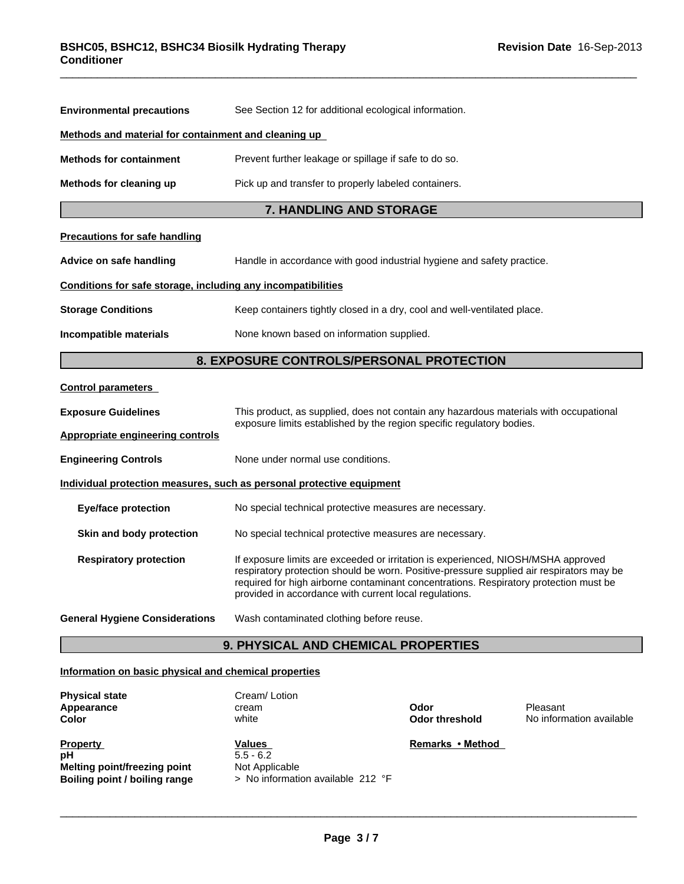| <b>Environmental precautions</b>                             | See Section 12 for additional ecological information.                                                                                                                                                                                                                                                                            |  |  |  |
|--------------------------------------------------------------|----------------------------------------------------------------------------------------------------------------------------------------------------------------------------------------------------------------------------------------------------------------------------------------------------------------------------------|--|--|--|
| Methods and material for containment and cleaning up         |                                                                                                                                                                                                                                                                                                                                  |  |  |  |
| <b>Methods for containment</b>                               | Prevent further leakage or spillage if safe to do so.                                                                                                                                                                                                                                                                            |  |  |  |
| Methods for cleaning up                                      | Pick up and transfer to properly labeled containers.                                                                                                                                                                                                                                                                             |  |  |  |
|                                                              | <b>7. HANDLING AND STORAGE</b>                                                                                                                                                                                                                                                                                                   |  |  |  |
| <b>Precautions for safe handling</b>                         |                                                                                                                                                                                                                                                                                                                                  |  |  |  |
| Advice on safe handling                                      | Handle in accordance with good industrial hygiene and safety practice.                                                                                                                                                                                                                                                           |  |  |  |
| Conditions for safe storage, including any incompatibilities |                                                                                                                                                                                                                                                                                                                                  |  |  |  |
| <b>Storage Conditions</b>                                    | Keep containers tightly closed in a dry, cool and well-ventilated place.                                                                                                                                                                                                                                                         |  |  |  |
| Incompatible materials                                       | None known based on information supplied.                                                                                                                                                                                                                                                                                        |  |  |  |
|                                                              | 8. EXPOSURE CONTROLS/PERSONAL PROTECTION                                                                                                                                                                                                                                                                                         |  |  |  |
| <b>Control parameters</b>                                    |                                                                                                                                                                                                                                                                                                                                  |  |  |  |
| <b>Exposure Guidelines</b>                                   | This product, as supplied, does not contain any hazardous materials with occupational                                                                                                                                                                                                                                            |  |  |  |
| <b>Appropriate engineering controls</b>                      | exposure limits established by the region specific regulatory bodies.                                                                                                                                                                                                                                                            |  |  |  |
| <b>Engineering Controls</b>                                  | None under normal use conditions.                                                                                                                                                                                                                                                                                                |  |  |  |
|                                                              | Individual protection measures, such as personal protective equipment                                                                                                                                                                                                                                                            |  |  |  |
| <b>Eye/face protection</b>                                   | No special technical protective measures are necessary.                                                                                                                                                                                                                                                                          |  |  |  |
| Skin and body protection                                     | No special technical protective measures are necessary.                                                                                                                                                                                                                                                                          |  |  |  |
| <b>Respiratory protection</b>                                | If exposure limits are exceeded or irritation is experienced, NIOSH/MSHA approved<br>respiratory protection should be worn. Positive-pressure supplied air respirators may be<br>required for high airborne contaminant concentrations. Respiratory protection must be<br>provided in accordance with current local regulations. |  |  |  |
| <b>General Hygiene Considerations</b>                        | Wash contaminated clothing before reuse.                                                                                                                                                                                                                                                                                         |  |  |  |
|                                                              | <b>9. PHYSICAL AND CHEMICAL PROPERTIES</b>                                                                                                                                                                                                                                                                                       |  |  |  |

# **Information on basic physical and chemical properties**

| <b>Physical state</b><br>Appearance<br><b>Color</b>                                           | Cream/Lotion<br>cream<br>white                                               | Odor<br>Odor threshold | Pleasant<br>No information available |
|-----------------------------------------------------------------------------------------------|------------------------------------------------------------------------------|------------------------|--------------------------------------|
| <b>Property</b><br>рH<br><b>Melting point/freezing point</b><br>Boiling point / boiling range | Values<br>$5.5 - 6.2$<br>Not Applicable<br>> No information available 212 °F | Remarks • Method       |                                      |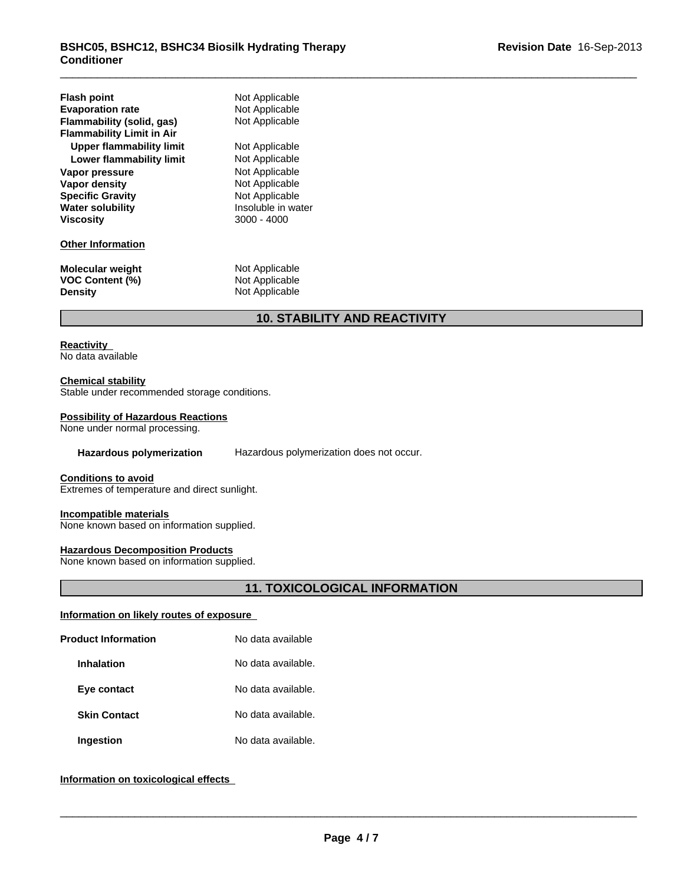| <b>Flash point</b><br><b>Evaporation rate</b><br>Flammability (solid, gas)<br><b>Flammability Limit in Air</b><br>Upper flammability limit<br>Lower flammability limit<br>Vapor pressure<br>Vapor density<br><b>Specific Gravity</b><br><b>Water solubility</b><br><b>Viscosity</b> | Not Applicable<br>Not Applicable<br>Not Applicable<br>Not Applicable<br>Not Applicable<br>Not Applicable<br>Not Applicable<br>Not Applicable<br>Insoluble in water<br>$3000 - 4000$ |
|-------------------------------------------------------------------------------------------------------------------------------------------------------------------------------------------------------------------------------------------------------------------------------------|-------------------------------------------------------------------------------------------------------------------------------------------------------------------------------------|
| <b>Other Information</b>                                                                                                                                                                                                                                                            |                                                                                                                                                                                     |
| <b>Molecular weight</b><br><b>VOC Content (%)</b><br><b>Density</b>                                                                                                                                                                                                                 | Not Applicable<br>Not Applicable<br>Not Applicable                                                                                                                                  |

# **10. STABILITY AND REACTIVITY**

## **Reactivity**

No data available

## **Chemical stability**

Stable under recommended storage conditions.

## **Possibility of Hazardous Reactions**

None under normal processing.

**Hazardous polymerization** Hazardous polymerization does not occur.

#### **Conditions to avoid**

Extremes of temperature and direct sunlight.

#### **Incompatible materials**

None known based on information supplied.

## **Hazardous Decomposition Products**

None known based on information supplied.

## **11. TOXICOLOGICAL INFORMATION**

## **Information on likely routes of exposure**

| <b>Product Information</b> | No data available  |  |
|----------------------------|--------------------|--|
| <b>Inhalation</b>          | No data available. |  |
| Eye contact                | No data available. |  |
| <b>Skin Contact</b>        | No data available. |  |
| <b>Ingestion</b>           | No data available. |  |

## **Information on toxicological effects**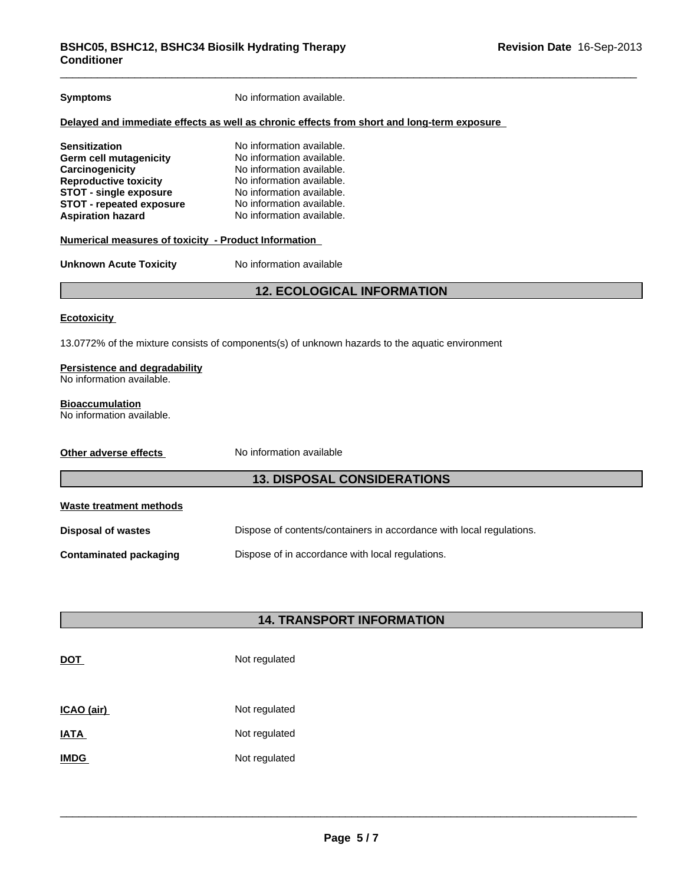| No information available.                                                                                                                                                                                                                                       |  |  |  |  |
|-----------------------------------------------------------------------------------------------------------------------------------------------------------------------------------------------------------------------------------------------------------------|--|--|--|--|
| Delayed and immediate effects as well as chronic effects from short and long-term exposure                                                                                                                                                                      |  |  |  |  |
| No information available.<br>No information available.<br>No information available.<br>No information available.<br>No information available.<br>No information available.<br>No information available.<br>Numerical measures of toxicity - Product Information |  |  |  |  |
| No information available                                                                                                                                                                                                                                        |  |  |  |  |
| <b>12. ECOLOGICAL INFORMATION</b>                                                                                                                                                                                                                               |  |  |  |  |
|                                                                                                                                                                                                                                                                 |  |  |  |  |
| 13.0772% of the mixture consists of components(s) of unknown hazards to the aquatic environment                                                                                                                                                                 |  |  |  |  |
| Persistence and degradability<br>No information available.                                                                                                                                                                                                      |  |  |  |  |
|                                                                                                                                                                                                                                                                 |  |  |  |  |
| No information available                                                                                                                                                                                                                                        |  |  |  |  |
| <b>13. DISPOSAL CONSIDERATIONS</b>                                                                                                                                                                                                                              |  |  |  |  |
|                                                                                                                                                                                                                                                                 |  |  |  |  |
| Dispose of contents/containers in accordance with local regulations.                                                                                                                                                                                            |  |  |  |  |
| Dispose of in accordance with local regulations.                                                                                                                                                                                                                |  |  |  |  |
|                                                                                                                                                                                                                                                                 |  |  |  |  |
| <b>14. TRANSPORT INFORMATION</b>                                                                                                                                                                                                                                |  |  |  |  |
|                                                                                                                                                                                                                                                                 |  |  |  |  |

# **DOT** Not regulated

| ICAO (air)  | Not regulated |
|-------------|---------------|
| <b>IATA</b> | Not regulated |
| <b>IMDG</b> | Not regulated |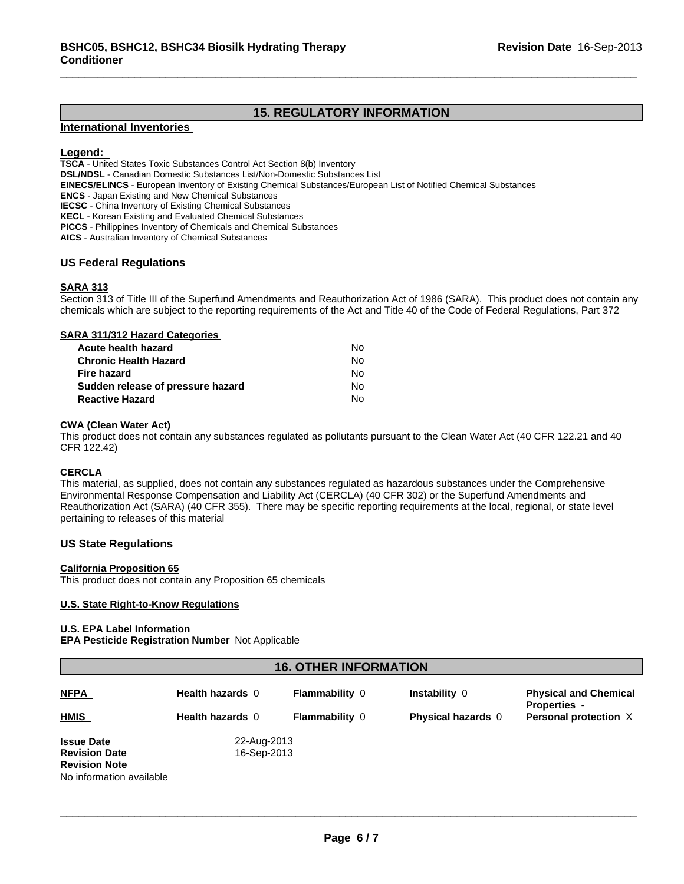## **15. REGULATORY INFORMATION**

## **International Inventories**

## **Legend:**

**TSCA** - United States Toxic Substances Control Act Section 8(b) Inventory

**DSL/NDSL** - Canadian Domestic Substances List/Non-Domestic Substances List

**EINECS/ELINCS** - European Inventory of Existing Chemical Substances/European List of Notified Chemical Substances

**ENCS** - Japan Existing and New Chemical Substances

**IECSC** - China Inventory of Existing Chemical Substances

**KECL** - Korean Existing and Evaluated Chemical Substances

**PICCS** - Philippines Inventory of Chemicals and Chemical Substances

**AICS** - Australian Inventory of Chemical Substances

## **US Federal Regulations**

## **SARA 313**

Section 313 of Title III of the Superfund Amendments and Reauthorization Act of 1986 (SARA). This product does not contain any chemicals which are subject to the reporting requirements of the Act and Title 40 of the Code of Federal Regulations, Part 372

#### **SARA 311/312 Hazard Categories**

| Acute health hazard               | No. |  |
|-----------------------------------|-----|--|
| Chronic Health Hazard             | No. |  |
| Fire hazard                       | No. |  |
| Sudden release of pressure hazard | No. |  |
| <b>Reactive Hazard</b>            | N٥  |  |

## **CWA (Clean Water Act)**

This product does not contain any substances regulated as pollutants pursuant to the Clean Water Act (40 CFR 122.21 and 40 CFR 122.42)

## **CERCLA**

This material, as supplied, does not contain any substances regulated as hazardous substances under the Comprehensive Environmental Response Compensation and Liability Act (CERCLA) (40 CFR 302) or the Superfund Amendments and Reauthorization Act (SARA) (40 CFR 355). There may be specific reporting requirements at the local, regional, or state level pertaining to releases of this material

## **US State Regulations**

#### **California Proposition 65**

This product does not contain any Proposition 65 chemicals

#### **U.S. State Right-to-Know Regulations**

#### **U.S. EPA Label Information**

**EPA Pesticide Registration Number** Not Applicable

## **16. OTHER INFORMATION**

| <b>NFPA</b><br><b>HMIS</b>                                                                    | <b>Health hazards 0</b><br>Health hazards 0 | <b>Flammability 0</b><br><b>Flammability 0</b> | <b>Instability 0</b><br><b>Physical hazards</b> 0 | <b>Physical and Chemical</b><br><b>Properties</b> -<br>Personal protection X |
|-----------------------------------------------------------------------------------------------|---------------------------------------------|------------------------------------------------|---------------------------------------------------|------------------------------------------------------------------------------|
| <b>Issue Date</b><br><b>Revision Date</b><br><b>Revision Note</b><br>No information available | 22-Aug-2013<br>16-Sep-2013                  |                                                |                                                   |                                                                              |